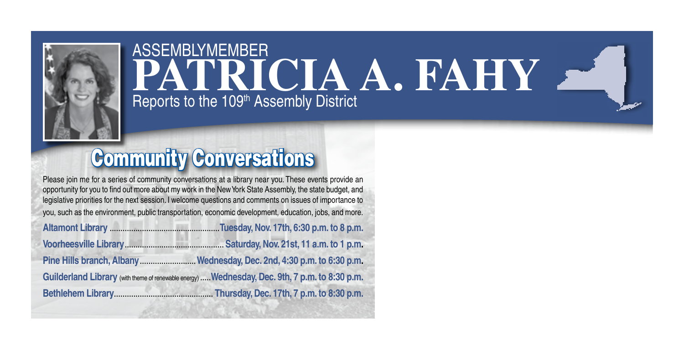

## ASSEMBLYMEMBER **PATRICIA A. FAHY** Reports to the 109<sup>th</sup> Assembly District

## Community Conversations

Please join me for a series of community conversations at a library near you. These events provide an opportunity for you to find out more about my work in the New York State Assembly, the state budget, and legislative priorities for the next session. I welcome questions and comments on issues of importance to you, such as the environment, public transportation, economic development, education, jobs, and more.

| Guilderland Library (with theme of renewable energy)  Wednesday, Dec. 9th, 7 p.m. to 8:30 p.m. |  |  |  |
|------------------------------------------------------------------------------------------------|--|--|--|
|                                                                                                |  |  |  |